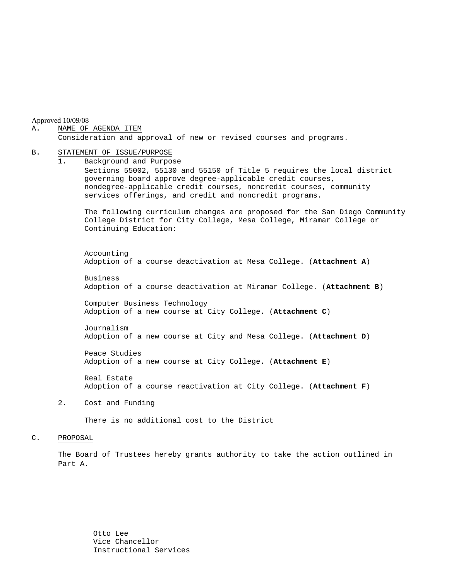Approved 10/09/08

#### A. NAME OF AGENDA ITEM

Consideration and approval of new or revised courses and programs.

#### B. STATEMENT OF ISSUE/PURPOSE

1. Background and Purpose Sections 55002, 55130 and 55150 of Title 5 requires the local district governing board approve degree-applicable credit courses, nondegree-applicable credit courses, noncredit courses, community services offerings, and credit and noncredit programs.

The following curriculum changes are proposed for the San Diego Community College District for City College, Mesa College, Miramar College or Continuing Education:

 Accounting Adoption of a course deactivation at Mesa College. (**Attachment A**)

Business Adoption of a course deactivation at Miramar College. (**Attachment B**)

Computer Business Technology Adoption of a new course at City College. (**Attachment C**)

Journalism Adoption of a new course at City and Mesa College. (**Attachment D**)

Peace Studies Adoption of a new course at City College. (**Attachment E**)

Real Estate Adoption of a course reactivation at City College. (**Attachment F**)

2. Cost and Funding

There is no additional cost to the District

#### C. PROPOSAL

The Board of Trustees hereby grants authority to take the action outlined in Part A.

> Otto Lee Vice Chancellor Instructional Services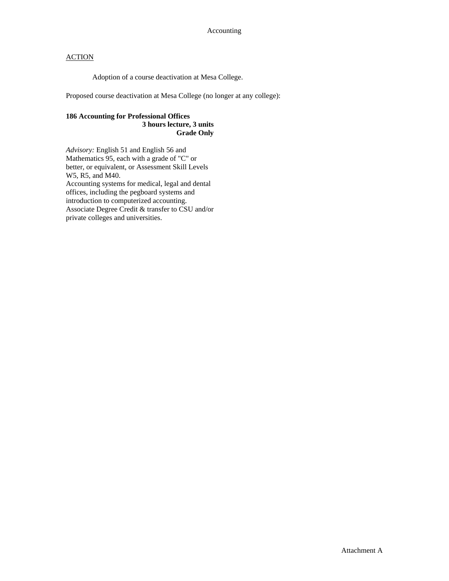Adoption of a course deactivation at Mesa College.

Proposed course deactivation at Mesa College (no longer at any college):

## **186 Accounting for Professional Offices 3 hours lecture, 3 units Grade Only**

*Advisory:* English 51 and English 56 and Mathematics 95, each with a grade of "C" or better, or equivalent, or Assessment Skill Levels W5, R5, and M40. Accounting systems for medical, legal and dental offices, including the pegboard systems and introduction to computerized accounting. Associate Degree Credit & transfer to CSU and/or private colleges and universities.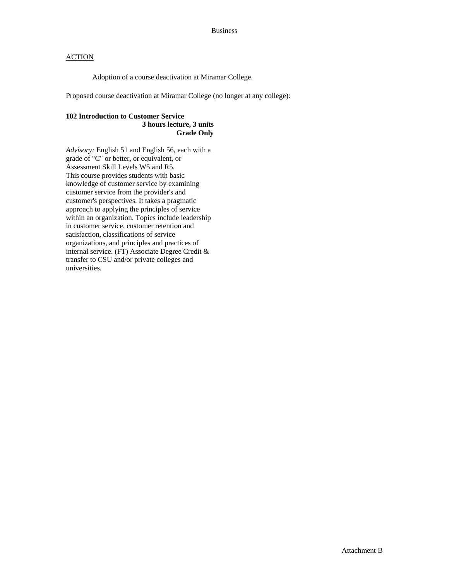Adoption of a course deactivation at Miramar College.

Proposed course deactivation at Miramar College (no longer at any college):

## **102 Introduction to Customer Service 3 hours lecture, 3 units Grade Only**

*Advisory:* English 51 and English 56, each with a grade of "C" or better, or equivalent, or Assessment Skill Levels W5 and R5. This course provides students with basic knowledge of customer service by examining customer service from the provider's and customer's perspectives. It takes a pragmatic approach to applying the principles of service within an organization. Topics include leadership in customer service, customer retention and satisfaction, classifications of service organizations, and principles and practices of internal service. (FT) Associate Degree Credit & transfer to CSU and/or private colleges and universities.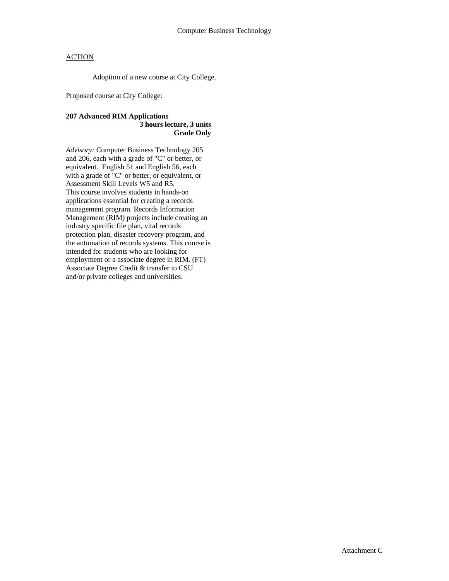Adoption of a new course at City College.

Proposed course at City College:

## **207 Advanced RIM Applications 3 hours lecture, 3 units Grade Only**

*Advisory:* Computer Business Technology 205 and 206, each with a grade of "C" or better, or equivalent. English 51 and English 56, each with a grade of "C" or better, or equivalent, or Assessment Skill Levels W5 and R5. This course involves students in hands-on applications essential for creating a records management program. Records Information Management (RIM) projects include creating an industry specific file plan, vital records protection plan, disaster recovery program, and the automation of records systems. This course is intended for students who are looking for employment or a associate degree in RIM. (FT) Associate Degree Credit & transfer to CSU and/or private colleges and universities.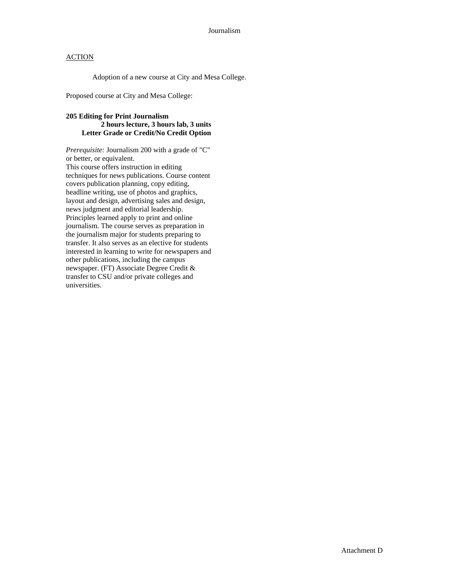Adoption of a new course at City and Mesa College.

Proposed course at City and Mesa College:

### **205 Editing for Print Journalism 2 hours lecture, 3 hours lab, 3 units Letter Grade or Credit/No Credit Option**

*Prerequisite:* Journalism 200 with a grade of "C" or better, or equivalent. This course offers instruction in editing techniques for news publications. Course content covers publication planning, copy editing, headline writing, use of photos and graphics, layout and design, advertising sales and design, news judgment and editorial leadership. Principles learned apply to print and online journalism. The course serves as preparation in the journalism major for students preparing to transfer. It also serves as an elective for students interested in learning to write for newspapers and other publications, including the campus newspaper. (FT) Associate Degree Credit & transfer to CSU and/or private colleges and universities.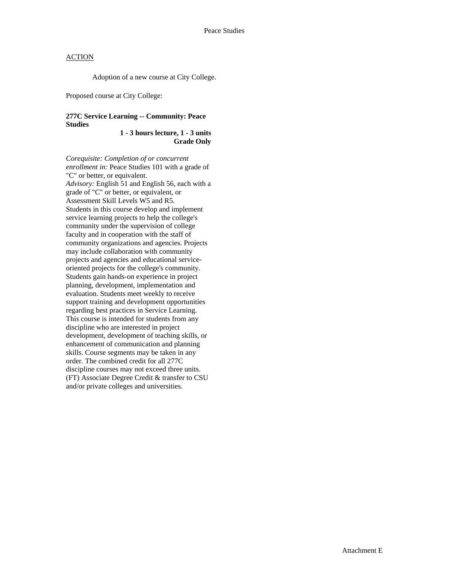Adoption of a new course at City College.

Proposed course at City College:

## **277C Service Learning -- Community: Peace Studies**

**1 - 3 hours lecture, 1 - 3 units Grade Only** 

*Corequisite: Completion of or concurrent enrollment in:* Peace Studies 101 with a grade of "C" or better, or equivalent. *Advisory:* English 51 and English 56, each with a grade of "C" or better, or equivalent, or Assessment Skill Levels W5 and R5. Students in this course develop and implement service learning projects to help the college's community under the supervision of college faculty and in cooperation with the staff of community organizations and agencies. Projects may include collaboration with community projects and agencies and educational serviceoriented projects for the college's community. Students gain hands-on experience in project planning, development, implementation and evaluation. Students meet weekly to receive support training and development opportunities regarding best practices in Service Learning. This course is intended for students from any discipline who are interested in project development, development of teaching skills, or enhancement of communication and planning skills. Course segments may be taken in any order. The combined credit for all 277C discipline courses may not exceed three units. (FT) Associate Degree Credit & transfer to CSU and/or private colleges and universities.